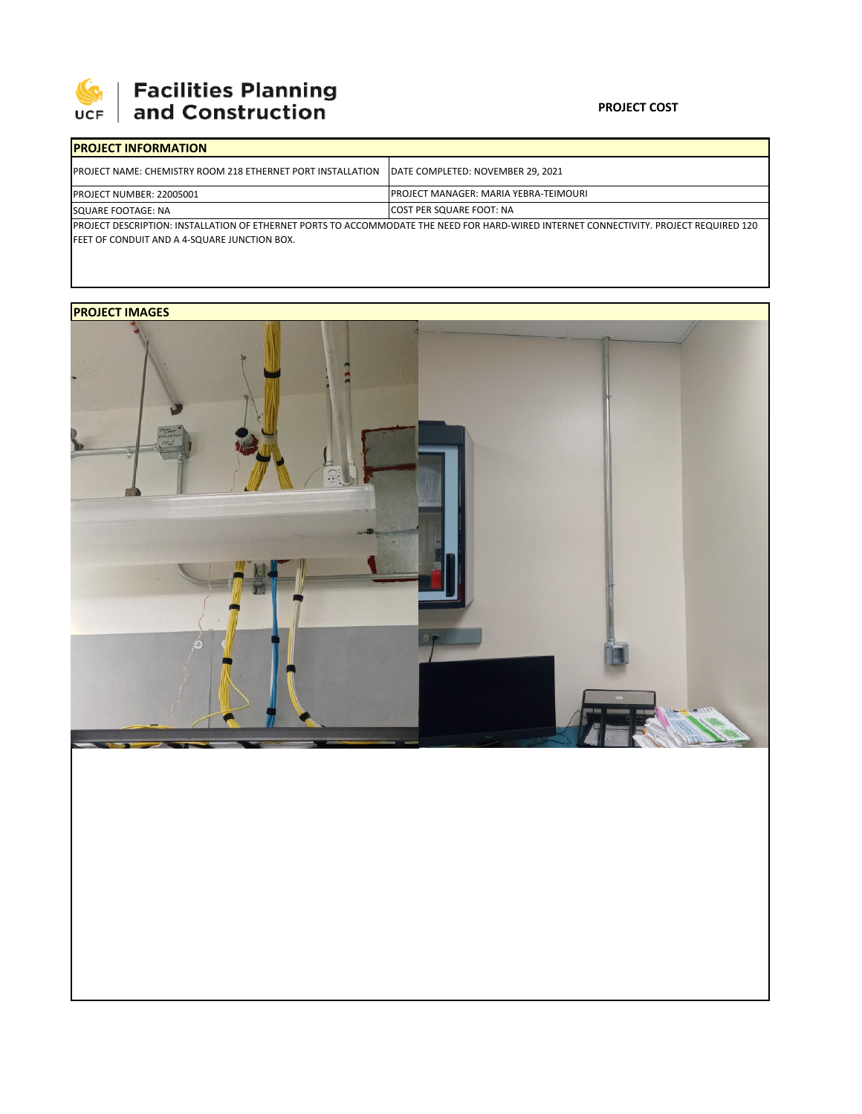

# | Facilities Planning<br>| and Construction

### **PROJECT COST**

| <b>IPROJECT INFORMATION</b>                                                                                                                                                                     |                                        |  |  |  |  |  |
|-------------------------------------------------------------------------------------------------------------------------------------------------------------------------------------------------|----------------------------------------|--|--|--|--|--|
| <b>IPROJECT NAME: CHEMISTRY ROOM 218 ETHERNET PORT INSTALLATION</b>                                                                                                                             | DATE COMPLETED: NOVEMBER 29, 2021      |  |  |  |  |  |
| <b>PROJECT NUMBER: 22005001</b>                                                                                                                                                                 | IPROJECT MANAGER: MARIA YEBRA-TEIMOURI |  |  |  |  |  |
| SQUARE FOOTAGE: NA                                                                                                                                                                              | <b>COST PER SQUARE FOOT: NA</b>        |  |  |  |  |  |
| IPROJECT DESCRIPTION: INSTALLATION OF ETHERNET PORTS TO ACCOMMODATE THE NEED FOR HARD-WIRED INTERNET CONNECTIVITY. PROJECT REQUIRED 120<br><b>IFEET OF CONDUIT AND A 4-SQUARE JUNCTION BOX.</b> |                                        |  |  |  |  |  |

### **PROJECT IMAGES**